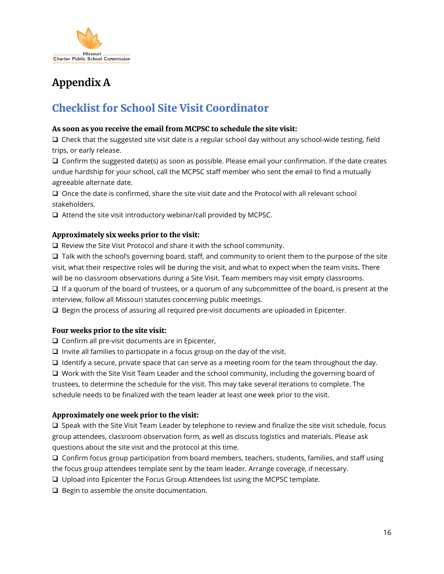

# **Appendix A**

## Checklist for School Site Visit Coordinator

#### As soon as you receive the email from MCPSC to schedule the site visit:

 $\Box$  Check that the suggested site visit date is a regular school day without any school-wide testing, field trips, or early release.

 $\Box$  Confirm the suggested date(s) as soon as possible. Please email your confirmation. If the date creates undue hardship for your school, call the MCPSC staff member who sent the email to find a mutually agreeable alternate date.

 $\Box$  Once the date is confirmed, share the site visit date and the Protocol with all relevant school stakeholders.

 $\Box$  Attend the site visit introductory webinar/call provided by MCPSC.

#### Approximately six weeks prior to the visit:

□ Review the Site Visit Protocol and share it with the school community.

 $\Box$  Talk with the school's governing board, staff, and community to orient them to the purpose of the site visit, what their respective roles will be during the visit, and what to expect when the team visits. There will be no classroom observations during a Site Visit. Team members may visit empty classrooms.

 $\Box$  If a quorum of the board of trustees, or a quorum of any subcommittee of the board, is present at the interview, follow all Missouri statutes concerning public meetings.

Begin the process of assuring all required pre-visit documents are uploaded in Epicenter.

#### Four weeks prior to the site visit:

 $\Box$  Confirm all pre-visit documents are in Epicenter,

 $\Box$  Invite all families to participate in a focus group on the day of the visit.

 $\Box$  Identify a secure, private space that can serve as a meeting room for the team throughout the day.

□ Work with the Site Visit Team Leader and the school community, including the governing board of trustees, to determine the schedule for the visit. This may take several iterations to complete. The schedule needs to be finalized with the team leader at least one week prior to the visit.

#### Approximately one week prior to the visit:

 Speak with the Site Visit Team Leader by telephone to review and finalize the site visit schedule, focus group attendees, classroom observation form, as well as discuss logistics and materials. Please ask questions about the site visit and the protocol at this time.

 $\Box$  Confirm focus group participation from board members, teachers, students, families, and staff using the focus group attendees template sent by the team leader. Arrange coverage, if necessary.

Upload into Epicenter the Focus Group Attendees list using the MCPSC template.

 $\Box$  Begin to assemble the onsite documentation.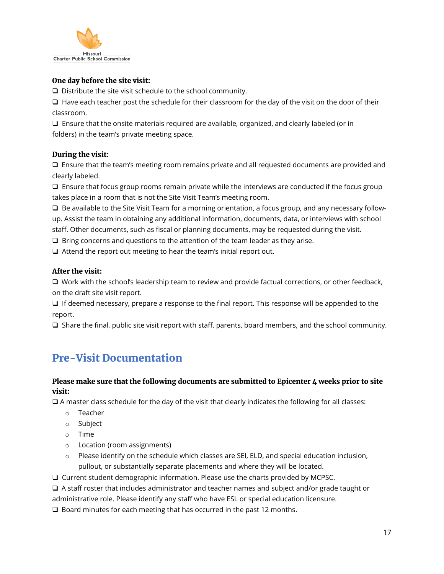

#### One day before the site visit:

 $\square$  Distribute the site visit schedule to the school community.

 $\Box$  Have each teacher post the schedule for their classroom for the day of the visit on the door of their classroom.

 $\Box$  Ensure that the onsite materials required are available, organized, and clearly labeled (or in folders) in the team's private meeting space.

#### During the visit:

 $\Box$  Ensure that the team's meeting room remains private and all requested documents are provided and clearly labeled.

 $\Box$  Ensure that focus group rooms remain private while the interviews are conducted if the focus group takes place in a room that is not the Site Visit Team's meeting room.

 $\Box$  Be available to the Site Visit Team for a morning orientation, a focus group, and any necessary followup. Assist the team in obtaining any additional information, documents, data, or interviews with school staff. Other documents, such as fiscal or planning documents, may be requested during the visit.

 $\Box$  Bring concerns and questions to the attention of the team leader as they arise.

 $\Box$  Attend the report out meeting to hear the team's initial report out.

#### After the visit:

 $\Box$  Work with the school's leadership team to review and provide factual corrections, or other feedback, on the draft site visit report.

 $\Box$  If deemed necessary, prepare a response to the final report. This response will be appended to the report.

 $\Box$  Share the final, public site visit report with staff, parents, board members, and the school community.

### Pre-Visit Documentation

#### Please make sure that the following documents are submitted to Epicenter 4 weeks prior to site visit:

 $\Box$  A master class schedule for the day of the visit that clearly indicates the following for all classes:

- o Teacher
- o Subject
- o Time
- o Location (room assignments)
- $\circ$  Please identify on the schedule which classes are SEI, ELD, and special education inclusion, pullout, or substantially separate placements and where they will be located.
- Current student demographic information. Please use the charts provided by MCPSC.

A staff roster that includes administrator and teacher names and subject and/or grade taught or

administrative role. Please identify any staff who have ESL or special education licensure.

 $\Box$  Board minutes for each meeting that has occurred in the past 12 months.